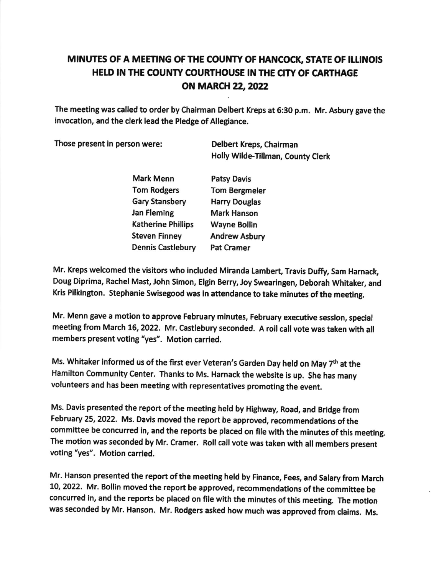## MINUTES OF A MEETING OF THE COUNTY OF HANCOCK, STATE OF ILLINOIS HELD IN THE COUNTY COURTHOUSE IN THE CITY OF CARTHAGE ON MARCH 22, 2022

The meeting was called to order by Chairman Delbert Kreps at 6:30 p.m. Mr. Asbury gave the invocation, and the clerk lead the Pledge of Allegiance.

Those present in person were: Delbert Kreps, Chairman

Holly Wlde.Tlllman, County Clerk

Mark Menn Tom Rodgers Gary Stansbery Jan Fleming Katherine Phillips Steven Finney Dennis Castlebury Patsy Davis Tom Bergmeler Harry Douglas Mark Hanson Wayne Bollin **Andrew Asbury** Pat Cramer

Mr. Kreps welcomed the visitors who included Miranda Lambert, Travis Duffy, Sam Harnack, Doug Diprima, Rachel Mast, John Simon, Elgin Berry, Joy Swearingen, Deborah Whitaker, and Kris Pilkington. Stephanie Swisegood was in attendance to take minutes of the meeting.

Mr. Menn gave a motion to approve February minutes, February executive session, special meeting from March 16, 2022. Mr. Castlebury seconded. A roll call vote was taken with all members present voting "yes". Motion carried.

Ms. Whitaker informed us of the first ever Veteran's Garden Day held on May  $7<sup>th</sup>$  at the Hamilton Community Center. Thanks to Ms. Harnack the website is up. She has many volunteers and has been meeting with representatives promoting the event.

Ms. Davis presented the report of the meeting held by Highway, Road, and Bridge from February 25, 2022. Ms. Davis moved the report be approved, recommendations of the committee be concurred in, and the reports be placed on file with the minutes of this meeting. The motion was seconded by Mr. Cramer. Roll call vote was taken with all members present voting "yes". Motion carried.

Mr. Hanson presented the report of the meeting held by Finance, Fees, and Salary from March 10, 2022. Mr. Bollin moved the report be approved, recommendations of the committee be concurred in, and the reports be placed on file with the minutes of this meeting. The motion was seconded by Mr. Hanson. Mr. Rodgers asked how much was approved from claims. Ms.